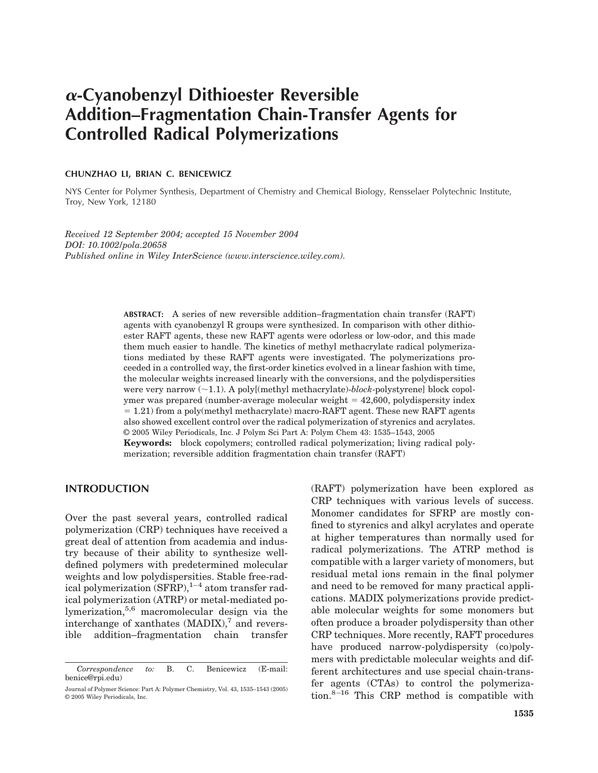# !**-Cyanobenzyl Dithioester Reversible Addition–Fragmentation Chain-Transfer Agents for Controlled Radical Polymerizations**

#### **CHUNZHAO LI, BRIAN C. BENICEWICZ**

NYS Center for Polymer Synthesis, Department of Chemistry and Chemical Biology, Rensselaer Polytechnic Institute, Troy, New York, 12180

*Received 12 September 2004; accepted 15 November 2004 DOI: 10.1002/pola.20658 Published online in Wiley InterScience (www.interscience.wiley.com).*

> **ABSTRACT:** A series of new reversible addition–fragmentation chain transfer (RAFT) agents with cyanobenzyl R groups were synthesized. In comparison with other dithioester RAFT agents, these new RAFT agents were odorless or low-odor, and this made them much easier to handle. The kinetics of methyl methacrylate radical polymerizations mediated by these RAFT agents were investigated. The polymerizations proceeded in a controlled way, the first-order kinetics evolved in a linear fashion with time, the molecular weights increased linearly with the conversions, and the polydispersities were very narrow  $(\sim 1.1)$ . A poly[(methyl methacrylate)-*block*-polystyrene] block copolymer was prepared (number-average molecular weight  $= 42,600$ , polydispersity index  $= 1.21$ ) from a poly(methyl methacrylate) macro-RAFT agent. These new RAFT agents also showed excellent control over the radical polymerization of styrenics and acrylates. © 2005 Wiley Periodicals, Inc. J Polym Sci Part A: Polym Chem 43: 1535–1543, 2005

> **Keywords:** block copolymers; controlled radical polymerization; living radical polymerization; reversible addition fragmentation chain transfer (RAFT)

# **INTRODUCTION**

Over the past several years, controlled radical polymerization (CRP) techniques have received a great deal of attention from academia and industry because of their ability to synthesize welldefined polymers with predetermined molecular weights and low polydispersities. Stable free-radical polymerization  $(SFRP)$ ,<sup>1–4</sup> atom transfer radical polymerization (ATRP) or metal-mediated polymerization,5,6 macromolecular design via the interchange of xanthates  $(MADIX)$ ,<sup>7</sup> and reversible addition–fragmentation chain transfer

(RAFT) polymerization have been explored as CRP techniques with various levels of success. Monomer candidates for SFRP are mostly confined to styrenics and alkyl acrylates and operate at higher temperatures than normally used for radical polymerizations. The ATRP method is compatible with a larger variety of monomers, but residual metal ions remain in the final polymer and need to be removed for many practical applications. MADIX polymerizations provide predictable molecular weights for some monomers but often produce a broader polydispersity than other CRP techniques. More recently, RAFT procedures have produced narrow-polydispersity (co)polymers with predictable molecular weights and different architectures and use special chain-transfer agents (CTAs) to control the polymerization. $8-16$  This CRP method is compatible with

*Correspondence to:* B. C. Benicewicz (E-mail: benice@rpi.edu)

Journal of Polymer Science: Part A: Polymer Chemistry, Vol. 43, 1535–1543 (2005) © 2005 Wiley Periodicals, Inc.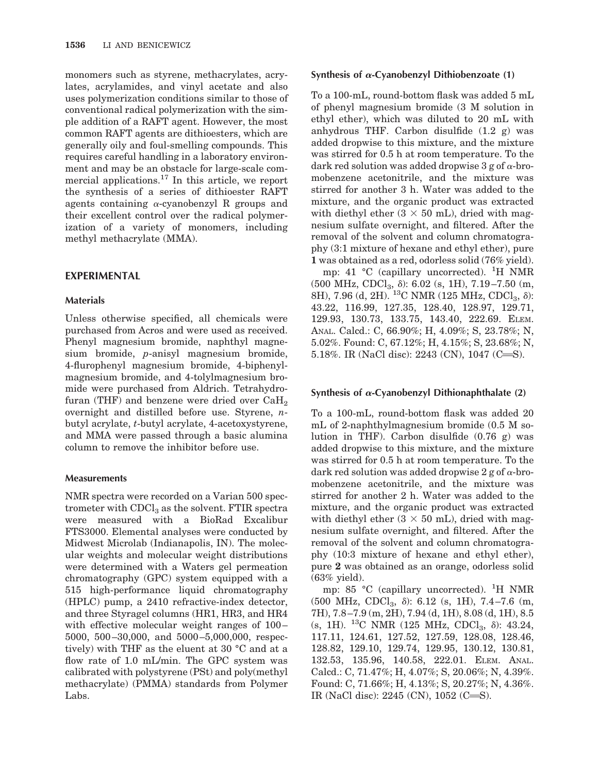monomers such as styrene, methacrylates, acrylates, acrylamides, and vinyl acetate and also uses polymerization conditions similar to those of conventional radical polymerization with the simple addition of a RAFT agent. However, the most common RAFT agents are dithioesters, which are generally oily and foul-smelling compounds. This requires careful handling in a laboratory environment and may be an obstacle for large-scale commercial applications.17 In this article, we report the synthesis of a series of dithioester RAFT agents containing  $\alpha$ -cyanobenzyl R groups and their excellent control over the radical polymerization of a variety of monomers, including methyl methacrylate (MMA).

# **EXPERIMENTAL**

# **Materials**

Unless otherwise specified, all chemicals were purchased from Acros and were used as received. Phenyl magnesium bromide, naphthyl magnesium bromide, *p*-anisyl magnesium bromide, 4-flurophenyl magnesium bromide, 4-biphenylmagnesium bromide, and 4-tolylmagnesium bromide were purchased from Aldrich. Tetrahydrofuran (THF) and benzene were dried over  $CaH<sub>2</sub>$ overnight and distilled before use. Styrene, *n*butyl acrylate, *t*-butyl acrylate, 4-acetoxystyrene, and MMA were passed through a basic alumina column to remove the inhibitor before use.

# **Measurements**

NMR spectra were recorded on a Varian 500 spectrometer with  $CDCl<sub>3</sub>$  as the solvent. FTIR spectra were measured with a BioRad Excalibur FTS3000. Elemental analyses were conducted by Midwest Microlab (Indianapolis, IN). The molecular weights and molecular weight distributions were determined with a Waters gel permeation chromatography (GPC) system equipped with a 515 high-performance liquid chromatography (HPLC) pump, a 2410 refractive-index detector, and three Styragel columns (HR1, HR3, and HR4 with effective molecular weight ranges of 100– 5000, 500 –30,000, and 5000 –5,000,000, respectively) with THF as the eluent at 30 °C and at a flow rate of 1.0 mL/min. The GPC system was calibrated with polystyrene (PSt) and poly(methyl methacrylate) (PMMA) standards from Polymer Labs.

## Synthesis of  $\alpha$ -Cyanobenzyl Dithiobenzoate (1)

To a 100-mL, round-bottom flask was added 5 mL of phenyl magnesium bromide (3 M solution in ethyl ether), which was diluted to 20 mL with anhydrous THF. Carbon disulfide (1.2 g) was added dropwise to this mixture, and the mixture was stirred for 0.5 h at room temperature. To the dark red solution was added dropwise 3 g of  $\alpha$ -bromobenzene acetonitrile, and the mixture was stirred for another 3 h. Water was added to the mixture, and the organic product was extracted with diethyl ether  $(3 \times 50 \text{ mL})$ , dried with magnesium sulfate overnight, and filtered. After the removal of the solvent and column chromatography (3:1 mixture of hexane and ethyl ether), pure **1** was obtained as a red, odorless solid (76% yield).

mp: 41 °C (capillary uncorrected). <sup>1</sup>H NMR  $(500 \text{ MHz}, \text{CDCl}_3, \delta)$ : 6.02 (s, 1H), 7.19-7.50 (m, 8H), 7.96 (d, 2H). <sup>13</sup>C NMR (125 MHz, CDCl<sub>3</sub>,  $\delta$ ): 43.22, 116.99, 127.35, 128.40, 128.97, 129.71, 129.93, 130.73, 133.75, 143.40, 222.69. ELEM. ANAL. Calcd.: C, 66.90%; H, 4.09%; S, 23.78%; N, 5.02%. Found: C, 67.12%; H, 4.15%; S, 23.68%; N, 5.18%. IR (NaCl disc): 2243 (CN), 1047 (C=S).

# **Synthesis of**  $\alpha$ **-Cyanobenzyl Dithionaphthalate (2)**

To a 100-mL, round-bottom flask was added 20 mL of 2-naphthylmagnesium bromide (0.5 M solution in THF). Carbon disulfide (0.76 g) was added dropwise to this mixture, and the mixture was stirred for 0.5 h at room temperature. To the dark red solution was added dropwise  $2 g$  of  $\alpha$ -bromobenzene acetonitrile, and the mixture was stirred for another 2 h. Water was added to the mixture, and the organic product was extracted with diethyl ether  $(3 \times 50 \text{ mL})$ , dried with magnesium sulfate overnight, and filtered. After the removal of the solvent and column chromatography (10:3 mixture of hexane and ethyl ether), pure **2** was obtained as an orange, odorless solid (63% yield).

mp: 85 °C (capillary uncorrected). <sup>1</sup>H NMR (500 MHz, CDCl<sub>3</sub>,  $\delta$ ): 6.12 (s, 1H), 7.4-7.6 (m, 7H), 7.8 –7.9 (m, 2H), 7.94 (d, 1H), 8.08 (d, 1H), 8.5 (s, 1H). <sup>13</sup>C NMR (125 MHz, CDCl<sub>3</sub>,  $\delta$ ): 43.24, 117.11, 124.61, 127.52, 127.59, 128.08, 128.46, 128.82, 129.10, 129.74, 129.95, 130.12, 130.81, 132.53, 135.96, 140.58, 222.01. ELEM. ANAL. Calcd.: C, 71.47%; H, 4.07%; S, 20.06%; N, 4.39%. Found: C, 71.66%; H, 4.13%; S, 20.27%; N, 4.36%. IR (NaCl disc):  $2245$  (CN),  $1052$  (C=S).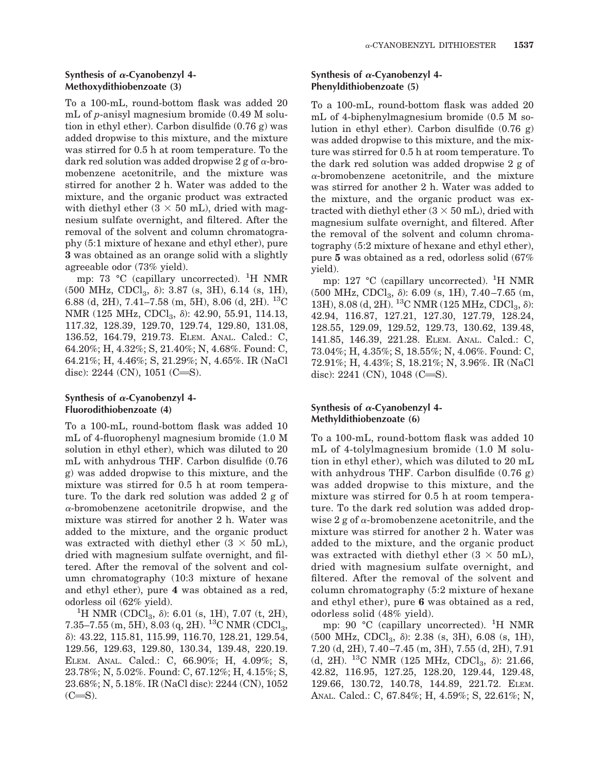#### **Synthesis of** !**-Cyanobenzyl 4- Methoxydithiobenzoate (3)**

To a 100-mL, round-bottom flask was added 20 mL of *p*-anisyl magnesium bromide (0.49 M solution in ethyl ether). Carbon disulfide (0.76 g) was added dropwise to this mixture, and the mixture was stirred for 0.5 h at room temperature. To the dark red solution was added dropwise 2 g of  $\alpha$ -bromobenzene acetonitrile, and the mixture was stirred for another 2 h. Water was added to the mixture, and the organic product was extracted with diethyl ether  $(3 \times 50 \text{ mL})$ , dried with magnesium sulfate overnight, and filtered. After the removal of the solvent and column chromatography (5:1 mixture of hexane and ethyl ether), pure **3** was obtained as an orange solid with a slightly agreeable odor (73% yield).

mp: 73 °C (capillary uncorrected). <sup>1</sup>H NMR  $(500 \text{ MHz}, \text{CDCl}_3, \delta)$ : 3.87 (s, 3H), 6.14 (s, 1H), 6.88 (d, 2H), 7.41–7.58 (m, 5H), 8.06 (d, 2H). <sup>13</sup>C NMR (125 MHz, CDCl<sub>3</sub>,  $\delta$ ): 42.90, 55.91, 114.13, 117.32, 128.39, 129.70, 129.74, 129.80, 131.08, 136.52, 164.79, 219.73. ELEM. ANAL. Calcd.: C, 64.20%; H, 4.32%; S, 21.40%; N, 4.68%. Found: C, 64.21%; H, 4.46%; S, 21.29%; N, 4.65%. IR (NaCl disc):  $2244$  (CN),  $1051$  (C=S).

## **Synthesis of** !**-Cyanobenzyl 4- Fluorodithiobenzoate (4)**

To a 100-mL, round-bottom flask was added 10 mL of 4-fluorophenyl magnesium bromide (1.0 M solution in ethyl ether), which was diluted to 20 mL with anhydrous THF. Carbon disulfide (0.76 g) was added dropwise to this mixture, and the mixture was stirred for 0.5 h at room temperature. To the dark red solution was added 2 g of  $\alpha$ -bromobenzene acetonitrile dropwise, and the mixture was stirred for another 2 h. Water was added to the mixture, and the organic product was extracted with diethyl ether  $(3 \times 50 \text{ mL})$ , dried with magnesium sulfate overnight, and filtered. After the removal of the solvent and column chromatography (10:3 mixture of hexane and ethyl ether), pure **4** was obtained as a red, odorless oil (62% yield).

<sup>1</sup>H NMR (CDCl<sub>3</sub>,  $\delta$ ): 6.01 (s, 1H), 7.07 (t, 2H), 7.35–7.55 (m, 5H), 8.03 (q, 2H). 13C NMR (CDCl3, "): 43.22, 115.81, 115.99, 116.70, 128.21, 129.54, 129.56, 129.63, 129.80, 130.34, 139.48, 220.19. ELEM. ANAL. Calcd.: C, 66.90%; H, 4.09%; S, 23.78%; N, 5.02%. Found: C, 67.12%; H, 4.15%; S, 23.68%; N, 5.18%. IR (NaCl disc): 2244 (CN), 1052  $(C=S)$ .

#### **Synthesis of** !**-Cyanobenzyl 4- Phenyldithiobenzoate (5)**

To a 100-mL, round-bottom flask was added 20 mL of 4-biphenylmagnesium bromide (0.5 M solution in ethyl ether). Carbon disulfide (0.76 g) was added dropwise to this mixture, and the mixture was stirred for 0.5 h at room temperature. To the dark red solution was added dropwise 2 g of  $\alpha$ -bromobenzene acetonitrile, and the mixture was stirred for another 2 h. Water was added to the mixture, and the organic product was extracted with diethyl ether  $(3 \times 50 \text{ mL})$ , dried with magnesium sulfate overnight, and filtered. After the removal of the solvent and column chromatography (5:2 mixture of hexane and ethyl ether), pure **5** was obtained as a red, odorless solid (67% yield).

mp: 127 °C (capillary uncorrected). <sup>1</sup>H NMR  $(500 \text{ MHz}, \text{CDCl}_3, \delta)$ : 6.09 (s, 1H), 7.40–7.65 (m, 13H), 8.08 (d, 2H). <sup>13</sup>C NMR (125 MHz, CDCl<sub>3</sub>,  $\delta$ ): 42.94, 116.87, 127.21, 127.30, 127.79, 128.24, 128.55, 129.09, 129.52, 129.73, 130.62, 139.48, 141.85, 146.39, 221.28. ELEM. ANAL. Calcd.: C, 73.04%; H, 4.35%; S, 18.55%; N, 4.06%. Found: C, 72.91%; H, 4.43%; S, 18.21%; N, 3.96%. IR (NaCl disc):  $2241$  (CN),  $1048$  (C=S).

# **Synthesis of** !**-Cyanobenzyl 4- Methyldithiobenzoate (6)**

To a 100-mL, round-bottom flask was added 10 mL of 4-tolylmagnesium bromide (1.0 M solution in ethyl ether), which was diluted to 20 mL with anhydrous THF. Carbon disulfide (0.76 g) was added dropwise to this mixture, and the mixture was stirred for 0.5 h at room temperature. To the dark red solution was added dropwise 2 g of  $\alpha$ -bromobenzene acetonitrile, and the mixture was stirred for another 2 h. Water was added to the mixture, and the organic product was extracted with diethyl ether  $(3 \times 50 \text{ mL})$ , dried with magnesium sulfate overnight, and filtered. After the removal of the solvent and column chromatography (5:2 mixture of hexane and ethyl ether), pure **6** was obtained as a red, odorless solid (48% yield).

mp: 90 °C (capillary uncorrected). <sup>1</sup>H NMR  $(500 \text{ MHz}, \text{CDCl}_3, \delta)$ : 2.38 (s, 3H), 6.08 (s, 1H), 7.20 (d, 2H), 7.40 –7.45 (m, 3H), 7.55 (d, 2H), 7.91 (d, 2H). <sup>13</sup>C NMR (125 MHz, CDCl<sub>3</sub>,  $\delta$ ): 21.66, 42.82, 116.95, 127.25, 128.20, 129.44, 129.48, 129.66, 130.72, 140.78, 144.89, 221.72. ELEM. ANAL. Calcd.: C, 67.84%; H, 4.59%; S, 22.61%; N,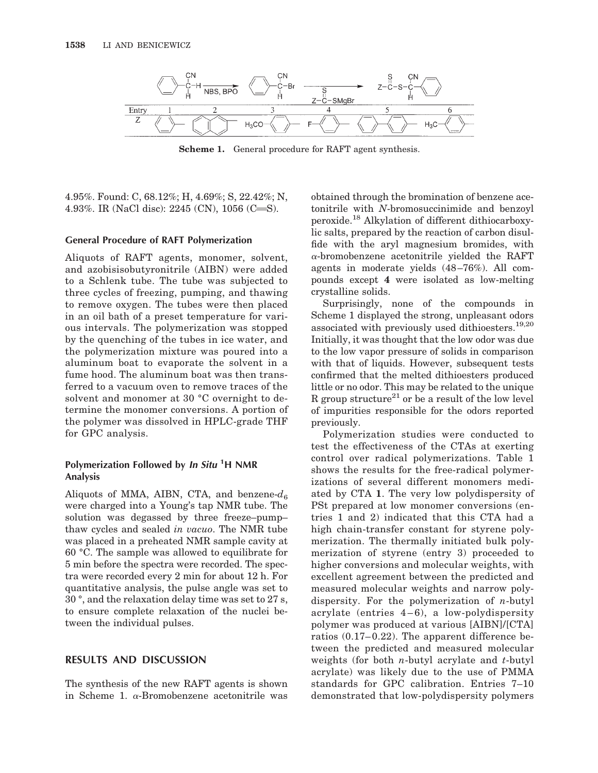

**Scheme 1.** General procedure for RAFT agent synthesis.

4.95%. Found: C, 68.12%; H, 4.69%; S, 22.42%; N, 4.93%. IR (NaCl disc):  $2245$  (CN),  $1056$  (C=S).

#### **General Procedure of RAFT Polymerization**

Aliquots of RAFT agents, monomer, solvent, and azobisisobutyronitrile (AIBN) were added to a Schlenk tube. The tube was subjected to three cycles of freezing, pumping, and thawing to remove oxygen. The tubes were then placed in an oil bath of a preset temperature for various intervals. The polymerization was stopped by the quenching of the tubes in ice water, and the polymerization mixture was poured into a aluminum boat to evaporate the solvent in a fume hood. The aluminum boat was then transferred to a vacuum oven to remove traces of the solvent and monomer at 30 °C overnight to determine the monomer conversions. A portion of the polymer was dissolved in HPLC-grade THF for GPC analysis.

# **Polymerization Followed by In Situ <sup>1</sup> H NMR Analysis**

Aliquots of MMA, AIBN, CTA, and benzene- $d_6$ were charged into a Young's tap NMR tube. The solution was degassed by three freeze–pump– thaw cycles and sealed *in vacuo*. The NMR tube was placed in a preheated NMR sample cavity at 60 °C. The sample was allowed to equilibrate for 5 min before the spectra were recorded. The spectra were recorded every 2 min for about 12 h. For quantitative analysis, the pulse angle was set to 30 °, and the relaxation delay time was set to 27 s, to ensure complete relaxation of the nuclei between the individual pulses.

## **RESULTS AND DISCUSSION**

The synthesis of the new RAFT agents is shown in Scheme 1.  $\alpha$ -Bromobenzene acetonitrile was

obtained through the bromination of benzene acetonitrile with *N*-bromosuccinimide and benzoyl peroxide.18 Alkylation of different dithiocarboxylic salts, prepared by the reaction of carbon disulfide with the aryl magnesium bromides, with  $\alpha$ -bromobenzene acetonitrile yielded the RAFT agents in moderate yields (48 –76%). All compounds except **4** were isolated as low-melting crystalline solids.

Surprisingly, none of the compounds in Scheme 1 displayed the strong, unpleasant odors associated with previously used dithioesters.19,20 Initially, it was thought that the low odor was due to the low vapor pressure of solids in comparison with that of liquids. However, subsequent tests confirmed that the melted dithioesters produced little or no odor. This may be related to the unique R group structure<sup>21</sup> or be a result of the low level of impurities responsible for the odors reported previously.

Polymerization studies were conducted to test the effectiveness of the CTAs at exerting control over radical polymerizations. Table 1 shows the results for the free-radical polymerizations of several different monomers mediated by CTA **1**. The very low polydispersity of PSt prepared at low monomer conversions (entries 1 and 2) indicated that this CTA had a high chain-transfer constant for styrene polymerization. The thermally initiated bulk polymerization of styrene (entry 3) proceeded to higher conversions and molecular weights, with excellent agreement between the predicted and measured molecular weights and narrow polydispersity. For the polymerization of *n*-butyl acrylate (entries  $4-6$ ), a low-polydispersity polymer was produced at various [AIBN]/[CTA] ratios  $(0.17-0.22)$ . The apparent difference between the predicted and measured molecular weights (for both *n*-butyl acrylate and *t*-butyl acrylate) was likely due to the use of PMMA standards for GPC calibration. Entries 7–10 demonstrated that low-polydispersity polymers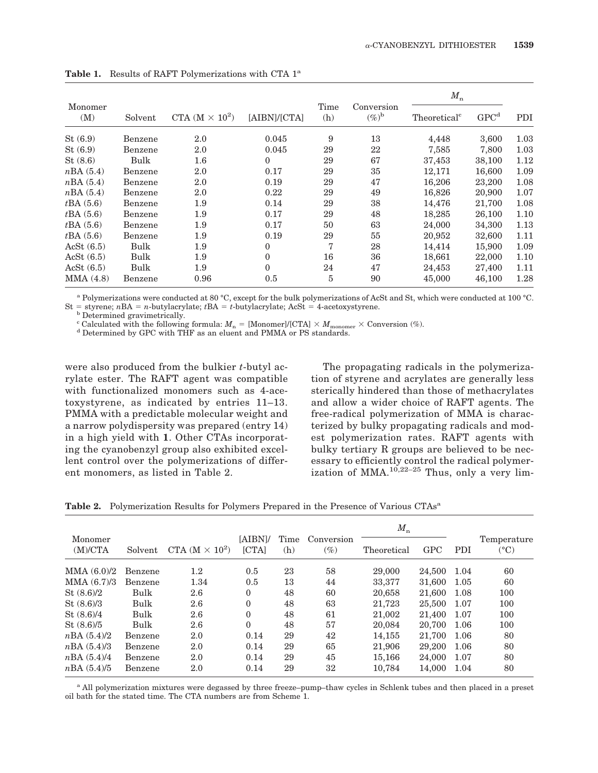|                |             | CTA $(M \times 10^2)$ | [AIBN]/[CTA]     | Time<br>(h)    |                              | $M_{\rm n}$              |                  |      |
|----------------|-------------|-----------------------|------------------|----------------|------------------------------|--------------------------|------------------|------|
| Monomer<br>(M) | Solvent     |                       |                  |                | Conversion<br>$(\%)^{\rm b}$ | Theoretical <sup>c</sup> | GPC <sup>d</sup> | PDI  |
| St(6.9)        | Benzene     | 2.0                   | 0.045            | 9              | 13                           | 4,448                    | 3,600            | 1.03 |
| St(6.9)        | Benzene     | 2.0                   | 0.045            | 29             | 22                           | 7,585                    | 7.800            | 1.03 |
| St(8.6)        | Bulk        | $1.6\,$               | $\overline{0}$   | 29             | 67                           | 37,453                   | 38,100           | 1.12 |
| nBA(5.4)       | Benzene     | 2.0                   | 0.17             | 29             | 35                           | 12,171                   | 16,600           | 1.09 |
| nBA(5.4)       | Benzene     | 2.0                   | 0.19             | 29             | 47                           | 16.206                   | 23,200           | 1.08 |
| nBA(5.4)       | Benzene     | 2.0                   | 0.22             | 29             | 49                           | 16.826                   | 20,900           | 1.07 |
| tBA(5.6)       | Benzene     | 1.9                   | 0.14             | 29             | 38                           | 14,476                   | 21,700           | 1.08 |
| tBA(5.6)       | Benzene     | 1.9                   | 0.17             | 29             | 48                           | 18.285                   | 26,100           | 1.10 |
| tBA(5.6)       | Benzene     | 1.9                   | 0.17             | 50             | 63                           | 24,000                   | 34,300           | 1.13 |
| tBA(5.6)       | Benzene     | 1.9                   | 0.19             | 29             | 55                           | 20,952                   | 32,600           | 1.11 |
| AcSt $(6.5)$   | <b>Bulk</b> | 1.9                   | $\mathbf{0}$     | $\overline{7}$ | 28                           | 14,414                   | 15,900           | 1.09 |
| AcSt $(6.5)$   | Bulk        | 1.9                   | $\boldsymbol{0}$ | 16             | 36                           | 18,661                   | 22,000           | 1.10 |
| AcSt $(6.5)$   | Bulk        | 1.9                   | $\overline{0}$   | 24             | 47                           | 24,453                   | 27,400           | 1.11 |
| MMA(4.8)       | Benzene     | 0.96                  | 0.5              | 5              | 90                           | 45,000                   | 46.100           | 1.28 |

Table 1. Results of RAFT Polymerizations with CTA 1<sup>a</sup>

<sup>a</sup> Polymerizations were conducted at 80 °C, except for the bulk polymerizations of AcSt and St, which were conducted at 100 °C. St = styrene;  $nBA = n$ -butylacrylate;  $tBA = t$ -butylacrylate; AcSt = 4-acetoxystyrene. b Determined gravimetrically.

<sup>c</sup> Calculated with the following formula:  $M_n =$  [Monomer]/[CTA]  $\times$  *M*<sub>monomer</sub>  $\times$  Conversion (%). <sup>d</sup> Determined by GPC with THF as an eluent and PMMA or PS standards.

were also produced from the bulkier *t*-butyl acrylate ester. The RAFT agent was compatible with functionalized monomers such as 4-acetoxystyrene, as indicated by entries 11–13. PMMA with a predictable molecular weight and a narrow polydispersity was prepared (entry 14) in a high yield with **1**. Other CTAs incorporating the cyanobenzyl group also exhibited excellent control over the polymerizations of different monomers, as listed in Table 2.

The propagating radicals in the polymerization of styrene and acrylates are generally less sterically hindered than those of methacrylates and allow a wider choice of RAFT agents. The free-radical polymerization of MMA is characterized by bulky propagating radicals and modest polymerization rates. RAFT agents with bulky tertiary R groups are believed to be necessary to efficiently control the radical polymerization of MMA. $10,22-25$  Thus, only a very lim-

|                    |         |                       |                         |             |                      | $M_{\rm n}$ |            |      |                              |
|--------------------|---------|-----------------------|-------------------------|-------------|----------------------|-------------|------------|------|------------------------------|
| Monomer<br>(M)/CTA | Solvent | CTA $(M \times 10^2)$ | [AIBN]/<br><b>[CTA]</b> | Time<br>(h) | Conversion<br>$(\%)$ | Theoretical | <b>GPC</b> | PDI  | Temperature<br>$(^{\circ}C)$ |
| MMA $(6.0)/2$      | Benzene | $1.2\,$               | 0.5                     | 23          | 58                   | 29,000      | 24,500     | 1.04 | 60                           |
| MMA $(6.7)/3$      | Benzene | 1.34                  | 0.5                     | 13          | 44                   | 33,377      | 31.600     | 1.05 | 60                           |
| St (8.6)/2         | Bulk    | 2.6                   | $\theta$                | 48          | 60                   | 20,658      | 21,600     | 1.08 | 100                          |
| St (8.6)/3         | Bulk    | 2.6                   | $\Omega$                | 48          | 63                   | 21.723      | 25,500     | 1.07 | 100                          |
| St (8.6)/4         | Bulk    | 2.6                   | $\theta$                | 48          | 61                   | 21,002      | 21,400     | 1.07 | 100                          |
| St (8.6)/5         | Bulk    | 2.6                   | $\Omega$                | 48          | 57                   | 20.084      | 20,700     | 1.06 | 100                          |
| nBA(5.4)/2         | Benzene | 2.0                   | 0.14                    | 29          | 42                   | 14.155      | 21.700     | 1.06 | 80                           |
| nBA(5.4)/3         | Benzene | 2.0                   | 0.14                    | 29          | 65                   | 21,906      | 29,200     | 1.06 | 80                           |
| nBA (5.4)/4        | Benzene | 2.0                   | 0.14                    | 29          | 45                   | 15,166      | 24,000     | 1.07 | 80                           |
| nBA(5.4)/5         | Benzene | 2.0                   | 0.14                    | 29          | 32                   | 10.784      | 14.000     | 1.04 | 80                           |

Table 2. Polymerization Results for Polymers Prepared in the Presence of Various CTAs<sup>a</sup>

<sup>a</sup> All polymerization mixtures were degassed by three freeze–pump–thaw cycles in Schlenk tubes and then placed in a preset oil bath for the stated time. The CTA numbers are from Scheme 1.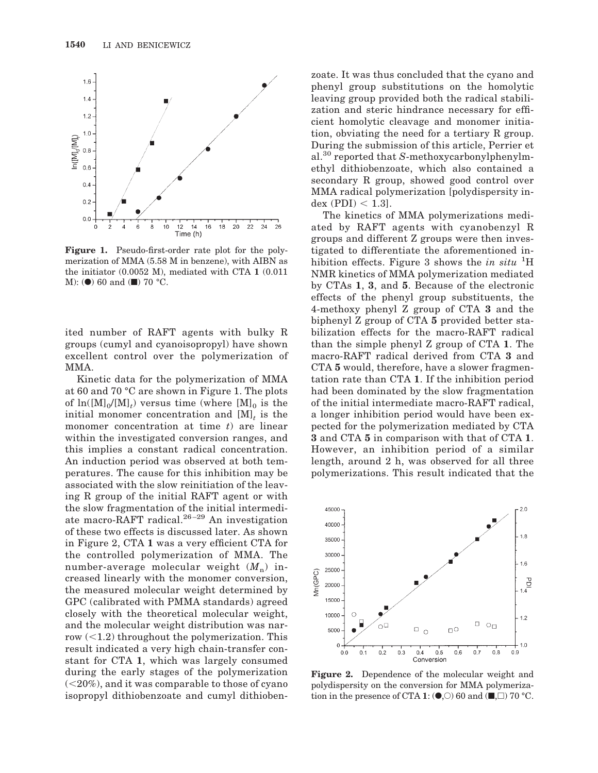

**Figure 1.** Pseudo-first-order rate plot for the polymerization of MMA (5.58 M in benzene), with AIBN as the initiator (0.0052 M), mediated with CTA **1** (0.011 M): ( $\bullet$ ) 60 and ( $\blacksquare$ ) 70 °C.

ited number of RAFT agents with bulky R groups (cumyl and cyanoisopropyl) have shown excellent control over the polymerization of MMA.

Kinetic data for the polymerization of MMA at 60 and 70 °C are shown in Figure 1. The plots of  $\ln([M]_0/[M]_t)$  versus time (where  $[M]_0$  is the initial monomer concentration and  $[M]_t$  is the monomer concentration at time *t*) are linear within the investigated conversion ranges, and this implies a constant radical concentration. An induction period was observed at both temperatures. The cause for this inhibition may be associated with the slow reinitiation of the leaving R group of the initial RAFT agent or with the slow fragmentation of the initial intermediate macro-RAFT radical.<sup>26-29</sup> An investigation of these two effects is discussed later. As shown in Figure 2, CTA **1** was a very efficient CTA for the controlled polymerization of MMA. The number-average molecular weight  $(M_n)$  increased linearly with the monomer conversion, the measured molecular weight determined by GPC (calibrated with PMMA standards) agreed closely with the theoretical molecular weight, and the molecular weight distribution was narrow  $\left($  < 1.2) throughout the polymerization. This result indicated a very high chain-transfer constant for CTA **1**, which was largely consumed during the early stages of the polymerization  $(<20\%)$ , and it was comparable to those of cyano isopropyl dithiobenzoate and cumyl dithiobenzoate. It was thus concluded that the cyano and phenyl group substitutions on the homolytic leaving group provided both the radical stabilization and steric hindrance necessary for efficient homolytic cleavage and monomer initiation, obviating the need for a tertiary R group. During the submission of this article, Perrier et al.<sup>30</sup> reported that *S*-methoxycarbonylphenylmethyl dithiobenzoate, which also contained a secondary R group, showed good control over MMA radical polymerization [polydispersity index  $(PDI) < 1.3$ ].

The kinetics of MMA polymerizations mediated by RAFT agents with cyanobenzyl R groups and different Z groups were then investigated to differentiate the aforementioned inhibition effects. Figure 3 shows the *in situ* <sup>1</sup>H NMR kinetics of MMA polymerization mediated by CTAs **1**, **3**, and **5**. Because of the electronic effects of the phenyl group substituents, the 4-methoxy phenyl Z group of CTA **3** and the biphenyl Z group of CTA **5** provided better stabilization effects for the macro-RAFT radical than the simple phenyl Z group of CTA **1**. The macro-RAFT radical derived from CTA **3** and CTA **5** would, therefore, have a slower fragmentation rate than CTA **1**. If the inhibition period had been dominated by the slow fragmentation of the initial intermediate macro-RAFT radical, a longer inhibition period would have been expected for the polymerization mediated by CTA **3** and CTA **5** in comparison with that of CTA **1**. However, an inhibition period of a similar length, around 2 h, was observed for all three polymerizations. This result indicated that the



**Figure 2.** Dependence of the molecular weight and polydispersity on the conversion for MMA polymerization in the presence of CTA 1:  $(\bullet, \circ)$  60 and  $(\blacksquare, \square)$  70 °C.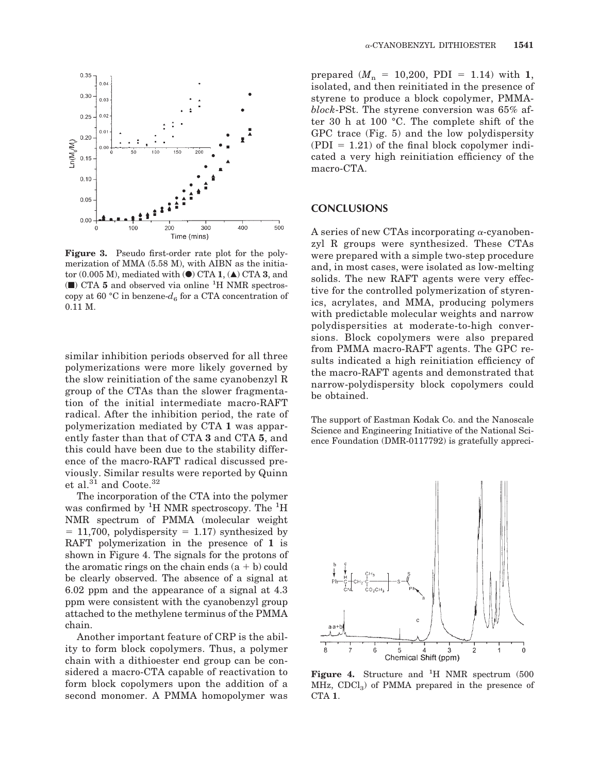

**Figure 3.** Pseudo first-order rate plot for the polymerization of MMA (5.58 M), with AIBN as the initiator  $(0.005 \text{ M})$ , mediated with  $\left(\bullet\right)$  CTA **1**,  $\left(\bullet\right)$  CTA **3**, and (■) CTA **5** and observed via online <sup>1</sup> H NMR spectroscopy at 60 °C in benzene- $d_6$  for a CTA concentration of 0.11 M.

similar inhibition periods observed for all three polymerizations were more likely governed by the slow reinitiation of the same cyanobenzyl R group of the CTAs than the slower fragmentation of the initial intermediate macro-RAFT radical. After the inhibition period, the rate of polymerization mediated by CTA **1** was apparently faster than that of CTA **3** and CTA **5**, and this could have been due to the stability difference of the macro-RAFT radical discussed previously. Similar results were reported by Quinn et al.<sup>31</sup> and Coote.<sup>32</sup>

The incorporation of the CTA into the polymer was confirmed by <sup>1</sup>H NMR spectroscopy. The <sup>1</sup>H NMR spectrum of PMMA (molecular weight  $= 11,700$ , polydispersity  $= 1.17$ ) synthesized by RAFT polymerization in the presence of **1** is shown in Figure 4. The signals for the protons of the aromatic rings on the chain ends  $(a + b)$  could be clearly observed. The absence of a signal at 6.02 ppm and the appearance of a signal at 4.3 ppm were consistent with the cyanobenzyl group attached to the methylene terminus of the PMMA chain.

Another important feature of CRP is the ability to form block copolymers. Thus, a polymer chain with a dithioester end group can be considered a macro-CTA capable of reactivation to form block copolymers upon the addition of a second monomer. A PMMA homopolymer was

prepared  $(M_n = 10,200, \text{ PDI} = 1.14)$  with 1, isolated, and then reinitiated in the presence of styrene to produce a block copolymer, PMMA*block*-PSt. The styrene conversion was 65% after 30 h at 100 °C. The complete shift of the GPC trace (Fig. 5) and the low polydispersity  $( PDI = 1.21)$  of the final block copolymer indicated a very high reinitiation efficiency of the macro-CTA.

#### **CONCLUSIONS**

A series of new CTAs incorporating  $\alpha$ -cyanobenzyl R groups were synthesized. These CTAs were prepared with a simple two-step procedure and, in most cases, were isolated as low-melting solids. The new RAFT agents were very effective for the controlled polymerization of styrenics, acrylates, and MMA, producing polymers with predictable molecular weights and narrow polydispersities at moderate-to-high conversions. Block copolymers were also prepared from PMMA macro-RAFT agents. The GPC results indicated a high reinitiation efficiency of the macro-RAFT agents and demonstrated that narrow-polydispersity block copolymers could be obtained.

The support of Eastman Kodak Co. and the Nanoscale Science and Engineering Initiative of the National Science Foundation (DMR-0117792) is gratefully appreci-



Figure 4. Structure and <sup>1</sup>H NMR spectrum (500  $MHz$ , CDCl<sub>3</sub>) of PMMA prepared in the presence of CTA **1**.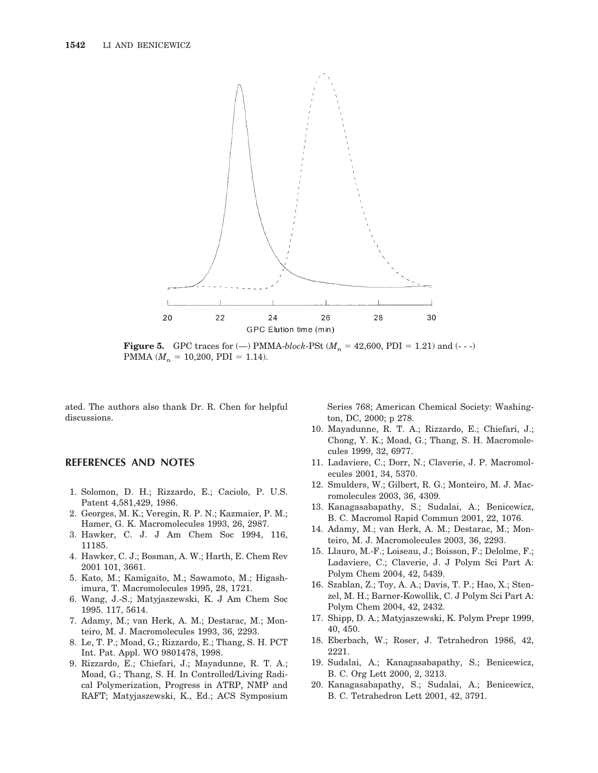

**Figure 5.** GPC traces for ( $\rightarrow$ ) PMMA-*block*-PSt ( $M_n = 42,600$ , PDI = 1.21) and (---) PMMA ( $M_n = 10,200$ , PDI = 1.14).

ated. The authors also thank Dr. R. Chen for helpful discussions.

### **REFERENCES AND NOTES**

- 1. Solomon, D. H.; Rizzardo, E.; Caciolo, P. U.S. Patent 4,581,429, 1986.
- 2. Georges, M. K.; Veregin, R. P. N.; Kazmaier, P. M.; Hamer, G. K. Macromolecules 1993, 26, 2987.
- 3. Hawker, C. J. J Am Chem Soc 1994, 116, 11185.
- 4. Hawker, C. J.; Bosman, A. W.; Harth, E. Chem Rev 2001 101, 3661.
- 5. Kato, M.; Kamigaito, M.; Sawamoto, M.; Higashimura, T. Macromolecules 1995, 28, 1721.
- 6. Wang, J.-S.; Matyjaszewski, K. J Am Chem Soc 1995. 117, 5614.
- 7. Adamy, M.; van Herk, A. M.; Destarac, M.; Monteiro, M. J. Macromolecules 1993, 36, 2293.
- 8. Le, T. P.; Moad, G.; Rizzardo, E.; Thang, S. H. PCT Int. Pat. Appl. WO 9801478, 1998.
- 9. Rizzardo, E.; Chiefari, J.; Mayadunne, R. T. A.; Moad, G.; Thang, S. H. In Controlled/Living Radical Polymerization, Progress in ATRP, NMP and RAFT; Matyjaszewski, K., Ed.; ACS Symposium

Series 768; American Chemical Society: Washington, DC, 2000; p 278.

- 10. Mayadunne, R. T. A.; Rizzardo, E.; Chiefari, J.; Chong, Y. K.; Moad, G.; Thang, S. H. Macromolecules 1999, 32, 6977.
- 11. Ladaviere, C.; Dorr, N.; Claverie, J. P. Macromolecules 2001, 34, 5370.
- 12. Smulders, W.; Gilbert, R. G.; Monteiro, M. J. Macromolecules 2003, 36, 4309.
- 13. Kanagasabapathy, S.; Sudalai, A.; Benicewicz, B. C. Macromol Rapid Commun 2001, 22, 1076.
- 14. Adamy, M.; van Herk, A. M.; Destarac, M.; Monteiro, M. J. Macromolecules 2003, 36, 2293.
- 15. Llauro, M.-F.; Loiseau, J.; Boisson, F.; Delolme, F.; Ladaviere, C.; Claverie, J. J Polym Sci Part A: Polym Chem 2004, 42, 5439.
- 16. Szablan, Z.; Toy, A. A.; Davis, T. P.; Hao, X.; Stenzel, M. H.; Barner-Kowollik, C. J Polym Sci Part A: Polym Chem 2004, 42, 2432.
- 17. Shipp, D. A.; Matyjaszewski, K. Polym Prepr 1999, 40, 450.
- 18. Eberbach, W.; Roser, J. Tetrahedron 1986, 42, 2221.
- 19. Sudalai, A.; Kanagasabapathy, S.; Benicewicz, B. C. Org Lett 2000, 2, 3213.
- 20. Kanagasabapathy, S.; Sudalai, A.; Benicewicz, B. C. Tetrahedron Lett 2001, 42, 3791.